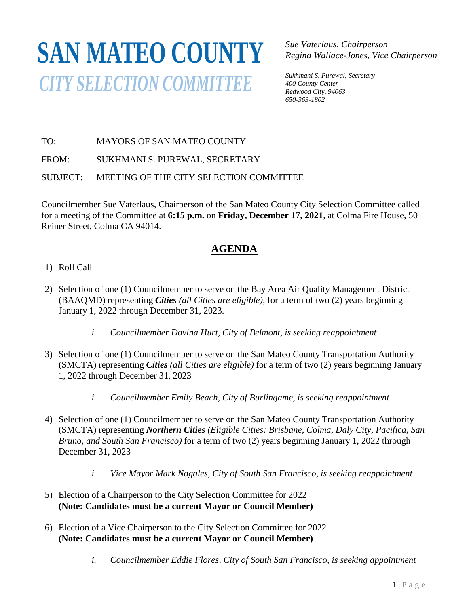## **SAN MATEO COUNTY***CITY SELECTION COMMITTEE*

*Sue Vaterlaus, Chairperson Regina Wallace-Jones, Vice Chairperson*

*Sukhmani S. Purewal, Secretary 400 County Center Redwood City, 94063 650-363-1802*

TO: MAYORS OF SAN MATEO COUNTY

FROM: SUKHMANI S. PUREWAL, SECRETARY

SUBJECT: MEETING OF THE CITY SELECTION COMMITTEE

Councilmember Sue Vaterlaus, Chairperson of the San Mateo County City Selection Committee called for a meeting of the Committee at **6:15 p.m.** on **Friday, December 17, 2021**, at Colma Fire House, 50 Reiner Street, Colma CA 94014.

## **AGENDA**

- 1) Roll Call
- 2) Selection of one (1) Councilmember to serve on the Bay Area Air Quality Management District (BAAQMD) representing *Cities (all Cities are eligible),* for a term of two (2) years beginning January 1, 2022 through December 31, 2023.
	- *i. Councilmember Davina Hurt, City of Belmont, is seeking reappointment*
- 3) Selection of one (1) Councilmember to serve on the San Mateo County Transportation Authority (SMCTA) representing *Cities (all Cities are eligible)* for a term of two (2) years beginning January 1, 2022 through December 31, 2023
	- *i. Councilmember Emily Beach, City of Burlingame, is seeking reappointment*
- 4) Selection of one (1) Councilmember to serve on the San Mateo County Transportation Authority (SMCTA) representing *Northern Cities (Eligible Cities: Brisbane, Colma, Daly City, Pacifica, San Bruno, and South San Francisco)* for a term of two (2) years beginning January 1, 2022 through December 31, 2023
	- *i. Vice Mayor Mark Nagales, City of South San Francisco, is seeking reappointment*
- 5) Election of a Chairperson to the City Selection Committee for 2022 **(Note: Candidates must be a current Mayor or Council Member)**
- 6) Election of a Vice Chairperson to the City Selection Committee for 2022 **(Note: Candidates must be a current Mayor or Council Member)**
	- *i. Councilmember Eddie Flores, City of South San Francisco, is seeking appointment*